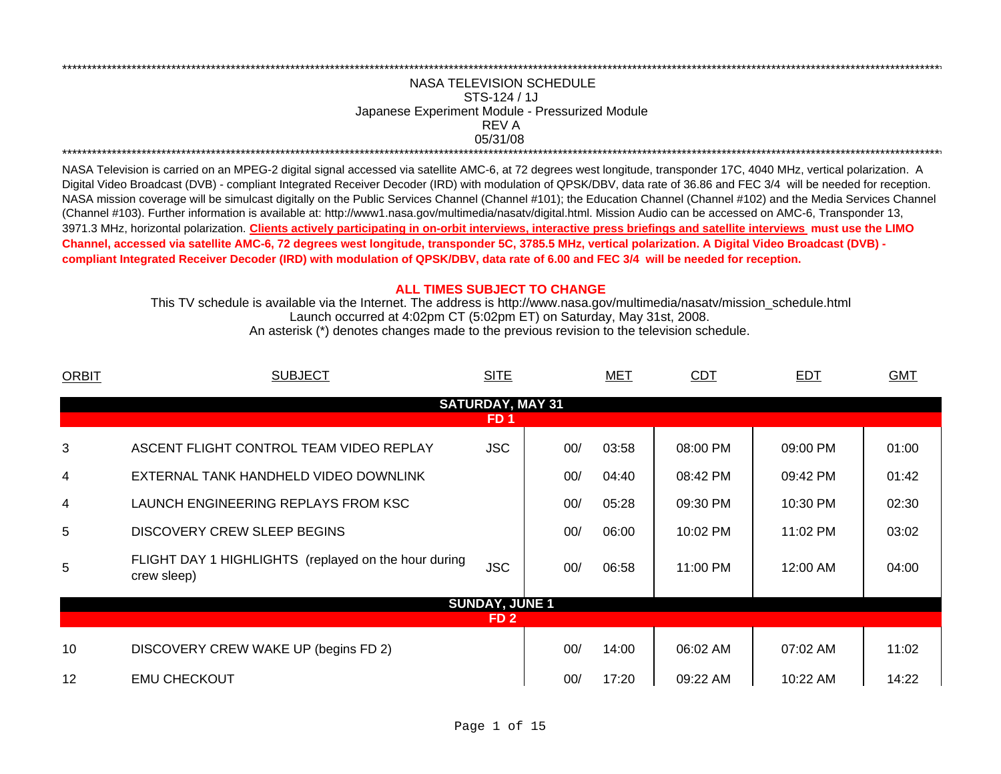## REV ANASA TELEVISION SCHEDULESTS-124 / 1JJapanese Experiment Module - Pressurized Module 05/31/08 \*\*\*\*\*\*\*\*\*\*\*\*\*\*\*\*\*\*\*\*\*\*\*\*\*\*\*\*\*\*\*\*\*\*\*\*\*\*\*\*\*\*\*\*\*\*\*\*\*\*\*\*\*\*\*\*\*\*\*\*\*\*\*\*\*\*\*\*\*\*\*\*\*\*\*\*\*\*\*\*\*\*\*\*\*\*\*\*\*\*\*\*\*\*\*\*\*\*\*\*\*\*\*\*\*\*\*\*\*\*\*\*\*\*\*\*\*\*\*\*\*\*\*\*\*\*\*\*\*\*\*\*\*\*\*\*\*\*\*\*\*\*\*\*\*\*\*\*\*\*\*\*\*\*\*\*\*\*\*\*\*\*\*\*\*\*\*\*\*\*\*\*\*\*\*\*\*\*

\*\*\*\*\*\*\*\*\*\*\*\*\*\*\*\*\*\*\*\*\*\*\*\*\*\*\*\*\*\*\*\*\*\*\*\*\*\*\*\*\*\*\*\*\*\*\*\*\*\*\*\*\*\*\*\*\*\*\*\*\*\*\*\*\*\*\*\*\*\*\*\*\*\*\*\*\*\*\*\*\*\*\*\*\*\*\*\*\*\*\*\*\*\*\*\*\*\*\*\*\*\*\*\*\*\*\*\*\*\*\*\*\*\*\*\*\*\*\*\*\*\*\*\*\*\*\*\*\*\*\*\*\*\*\*\*\*\*\*\*\*\*\*\*\*\*\*\*\*\*\*\*\*\*\*\*\*\*\*\*\*\*\*\*\*\*\*\*\*\*\*\*\*\*\*\*\*\*

NASA Television is carried on an MPEG-2 digital signal accessed via satellite AMC-6, at 72 degrees west longitude, transponder 17C, 4040 MHz, vertical polarization. A Digital Video Broadcast (DVB) - compliant Integrated Receiver Decoder (IRD) with modulation of QPSK/DBV, data rate of 36.86 and FEC 3/4 will be needed for reception. NASA mission coverage will be simulcast digitally on the Public Services Channel (Channel #101); the Education Channel (Channel #102) and the Media Services Channel (Channel #103). Further information is available at: http://www1.nasa.gov/multimedia/nasatv/digital.html. Mission Audio can be accessed on AMC-6, Transponder 13, 3971.3 MHz, horizontal polarization. **Clients actively participating in on-orbit interviews, interactive press briefings and satellite interviews must use the LIMO Channel, accessed via satellite AMC-6, 72 degrees west longitude, transponder 5C, 3785.5 MHz, vertical polarization. A Digital Video Broadcast (DVB) compliant Integrated Receiver Decoder (IRD) with modulation of QPSK/DBV, data rate of 6.00 and FEC 3/4 will be needed for reception.**

## **ALL TIMES SUBJECT TO CHANGE**

Launch occurred at 4:02pm CT (5:02pm ET) on Saturday, May 31st, 2008. This TV schedule is available via the Internet. The address is http://www.nasa.gov/multimedia/nasatv/mission\_schedule.html An asterisk (\*) denotes changes made to the previous revision to the television schedule.

| <b>ORBIT</b> | <b>SUBJECT</b>                                                      | <b>SITE</b>             |     | <b>MET</b> | <b>CDT</b> | <b>EDT</b> | <b>GMT</b> |
|--------------|---------------------------------------------------------------------|-------------------------|-----|------------|------------|------------|------------|
|              |                                                                     | <b>SATURDAY, MAY 31</b> |     |            |            |            |            |
|              |                                                                     | FD 1                    |     |            |            |            |            |
| 3            | ASCENT FLIGHT CONTROL TEAM VIDEO REPLAY                             | <b>JSC</b>              | 00/ | 03:58      | 08:00 PM   | 09:00 PM   | 01:00      |
| 4            | EXTERNAL TANK HANDHELD VIDEO DOWNLINK                               |                         | 00/ | 04:40      | 08:42 PM   | 09:42 PM   | 01:42      |
| 4            | LAUNCH ENGINEERING REPLAYS FROM KSC                                 |                         | 00/ | 05:28      | 09:30 PM   | 10:30 PM   | 02:30      |
| 5            | <b>DISCOVERY CREW SLEEP BEGINS</b>                                  |                         | 00/ | 06:00      | 10:02 PM   | 11:02 PM   | 03:02      |
| 5            | FLIGHT DAY 1 HIGHLIGHTS (replayed on the hour during<br>crew sleep) | <b>JSC</b>              | 00/ | 06:58      | 11:00 PM   | 12:00 AM   | 04:00      |
|              |                                                                     | <b>SUNDAY, JUNE 1</b>   |     |            |            |            |            |
|              |                                                                     | FD <sub>2</sub>         |     |            |            |            |            |
| 10           | DISCOVERY CREW WAKE UP (begins FD 2)                                |                         | 00/ | 14:00      | 06:02 AM   | 07:02 AM   | 11:02      |
| 12           | <b>EMU CHECKOUT</b>                                                 |                         | 00/ | 17:20      | 09:22 AM   | 10:22 AM   | 14:22      |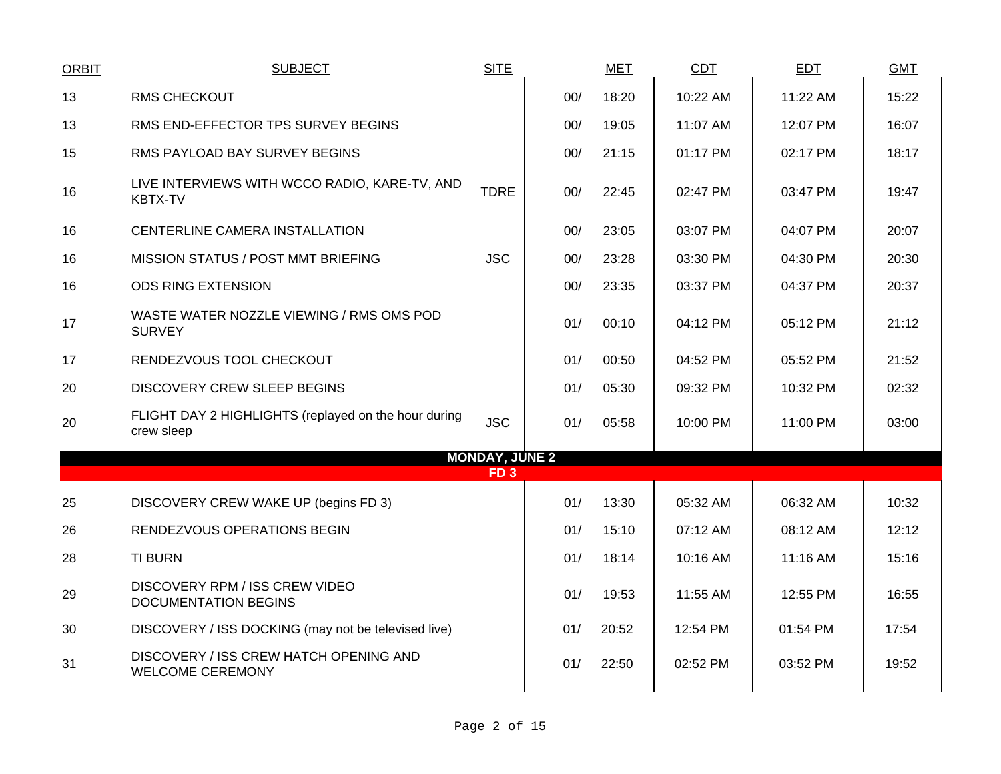|                                                                    | <b>SITE</b> |                 | <b>MET</b>                                                                           | <b>CDT</b> | <b>EDT</b> | <b>GMT</b> |
|--------------------------------------------------------------------|-------------|-----------------|--------------------------------------------------------------------------------------|------------|------------|------------|
| <b>RMS CHECKOUT</b>                                                |             | 00/             | 18:20                                                                                | 10:22 AM   | 11:22 AM   | 15:22      |
| RMS END-EFFECTOR TPS SURVEY BEGINS                                 |             | 00/             | 19:05                                                                                | 11:07 AM   | 12:07 PM   | 16:07      |
| RMS PAYLOAD BAY SURVEY BEGINS                                      |             | 00/             | 21:15                                                                                | 01:17 PM   | 02:17 PM   | 18:17      |
| LIVE INTERVIEWS WITH WCCO RADIO, KARE-TV, AND<br><b>KBTX-TV</b>    | <b>TDRE</b> | 00/             | 22:45                                                                                | 02:47 PM   | 03:47 PM   | 19:47      |
| CENTERLINE CAMERA INSTALLATION                                     |             | 00/             | 23:05                                                                                | 03:07 PM   | 04:07 PM   | 20:07      |
| MISSION STATUS / POST MMT BRIEFING                                 | <b>JSC</b>  |                 | 23:28                                                                                | 03:30 PM   | 04:30 PM   | 20:30      |
| <b>ODS RING EXTENSION</b>                                          |             | 00/             | 23:35                                                                                | 03:37 PM   | 04:37 PM   | 20:37      |
| WASTE WATER NOZZLE VIEWING / RMS OMS POD<br><b>SURVEY</b>          |             |                 | 00:10                                                                                | 04:12 PM   | 05:12 PM   | 21:12      |
| RENDEZVOUS TOOL CHECKOUT                                           |             |                 | 00:50                                                                                | 04:52 PM   | 05:52 PM   | 21:52      |
| <b>DISCOVERY CREW SLEEP BEGINS</b>                                 |             |                 | 05:30                                                                                | 09:32 PM   | 10:32 PM   | 02:32      |
| FLIGHT DAY 2 HIGHLIGHTS (replayed on the hour during<br>crew sleep | <b>JSC</b>  |                 | 05:58                                                                                | 10:00 PM   | 11:00 PM   | 03:00      |
|                                                                    |             |                 |                                                                                      |            |            |            |
|                                                                    |             |                 |                                                                                      |            |            |            |
| DISCOVERY CREW WAKE UP (begins FD 3)                               |             |                 | 13:30                                                                                | 05:32 AM   | 06:32 AM   | 10:32      |
| RENDEZVOUS OPERATIONS BEGIN                                        |             |                 | 15:10                                                                                | 07:12 AM   | 08:12 AM   | 12:12      |
| <b>TI BURN</b>                                                     |             |                 | 18:14                                                                                | 10:16 AM   | 11:16 AM   | 15:16      |
| DISCOVERY RPM / ISS CREW VIDEO<br><b>DOCUMENTATION BEGINS</b>      |             |                 | 19:53                                                                                | 11:55 AM   | 12:55 PM   | 16:55      |
| DISCOVERY / ISS DOCKING (may not be televised live)                |             | 01/             | 20:52                                                                                | 12:54 PM   | 01:54 PM   | 17:54      |
| DISCOVERY / ISS CREW HATCH OPENING AND<br><b>WELCOME CEREMONY</b>  |             | 01/             | 22:50                                                                                | 02:52 PM   | 03:52 PM   | 19:52      |
|                                                                    |             | FD <sub>3</sub> | 00/<br>01/<br>01/<br>01/<br>01/<br><b>MONDAY, JUNE 2</b><br>01/<br>01/<br>01/<br>01/ |            |            |            |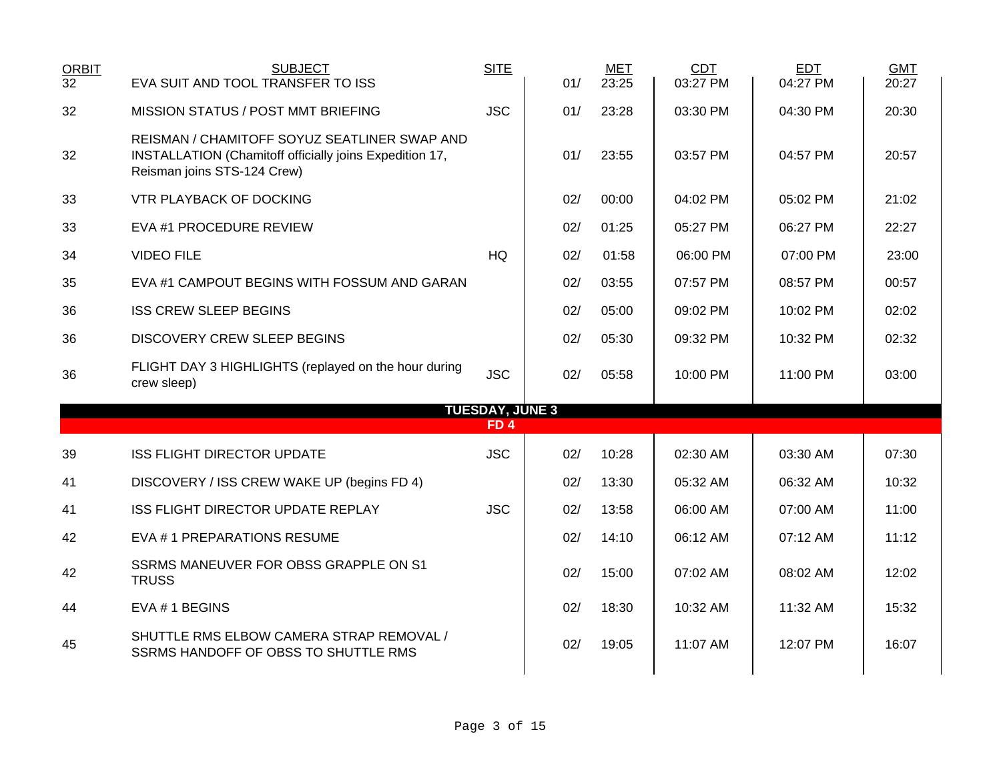| <b>ORBIT</b><br>$\overline{32}$ | <b>SUBJECT</b><br>EVA SUIT AND TOOL TRANSFER TO ISS                                                                                    | <b>SITE</b>                               | 01/ | <b>MET</b><br>23:25 | CDT<br>03:27 PM | EDT<br>04:27 PM | <b>GMT</b><br>20:27 |
|---------------------------------|----------------------------------------------------------------------------------------------------------------------------------------|-------------------------------------------|-----|---------------------|-----------------|-----------------|---------------------|
| 32                              | MISSION STATUS / POST MMT BRIEFING                                                                                                     | <b>JSC</b>                                | 01/ | 23:28               | 03:30 PM        | 04:30 PM        | 20:30               |
| 32                              | REISMAN / CHAMITOFF SOYUZ SEATLINER SWAP AND<br>INSTALLATION (Chamitoff officially joins Expedition 17,<br>Reisman joins STS-124 Crew) |                                           | 01/ | 23:55               | 03:57 PM        | 04:57 PM        | 20:57               |
| 33                              | <b>VTR PLAYBACK OF DOCKING</b>                                                                                                         |                                           | 02/ | 00:00               | 04:02 PM        | 05:02 PM        | 21:02               |
| 33                              | EVA #1 PROCEDURE REVIEW                                                                                                                |                                           | 02/ | 01:25               | 05:27 PM        | 06:27 PM        | 22:27               |
| 34                              | <b>VIDEO FILE</b>                                                                                                                      | HQ                                        | 02/ | 01:58               | 06:00 PM        | 07:00 PM        | 23:00               |
| 35                              | EVA #1 CAMPOUT BEGINS WITH FOSSUM AND GARAN                                                                                            |                                           | 02/ | 03:55               | 07:57 PM        | 08:57 PM        | 00:57               |
| 36                              | <b>ISS CREW SLEEP BEGINS</b>                                                                                                           |                                           | 02/ | 05:00               | 09:02 PM        | 10:02 PM        | 02:02               |
| 36                              | <b>DISCOVERY CREW SLEEP BEGINS</b>                                                                                                     |                                           | 02/ | 05:30               | 09:32 PM        | 10:32 PM        | 02:32               |
| 36                              | FLIGHT DAY 3 HIGHLIGHTS (replayed on the hour during<br>crew sleep)                                                                    | <b>JSC</b>                                | 02/ | 05:58               | 10:00 PM        | 11:00 PM        | 03:00               |
|                                 |                                                                                                                                        | <b>TUESDAY, JUNE 3</b><br>FD <sub>4</sub> |     |                     |                 |                 |                     |
| 39                              | <b>ISS FLIGHT DIRECTOR UPDATE</b>                                                                                                      | <b>JSC</b>                                | 02/ | 10:28               | 02:30 AM        | 03:30 AM        | 07:30               |
| 41                              | DISCOVERY / ISS CREW WAKE UP (begins FD 4)                                                                                             |                                           | 02/ | 13:30               | 05:32 AM        | 06:32 AM        | 10:32               |
| 41                              | ISS FLIGHT DIRECTOR UPDATE REPLAY                                                                                                      | <b>JSC</b>                                | 02/ | 13:58               | 06:00 AM        | 07:00 AM        | 11:00               |
| 42                              | EVA #1 PREPARATIONS RESUME                                                                                                             |                                           | 02/ | 14:10               | 06:12 AM        | 07:12 AM        | 11:12               |
| 42                              | SSRMS MANEUVER FOR OBSS GRAPPLE ON S1<br><b>TRUSS</b>                                                                                  |                                           | 02/ | 15:00               | 07:02 AM        | 08:02 AM        | 12:02               |
| 44                              | EVA #1 BEGINS                                                                                                                          |                                           | 02/ | 18:30               | 10:32 AM        | 11:32 AM        | 15:32               |
| 45                              | SHUTTLE RMS ELBOW CAMERA STRAP REMOVAL /<br>SSRMS HANDOFF OF OBSS TO SHUTTLE RMS                                                       |                                           | 02/ | 19:05               | 11:07 AM        | 12:07 PM        | 16:07               |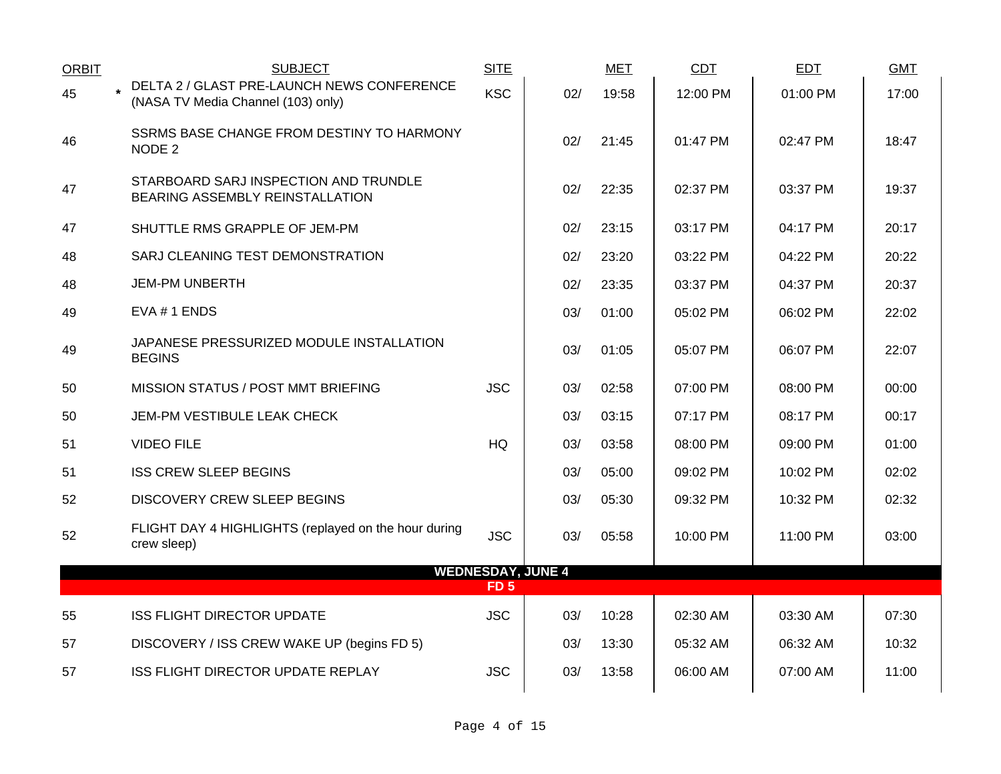| <b>ORBIT</b> | <b>SUBJECT</b>                                                                   | <b>SITE</b> |                          | <b>MET</b> | <b>CDT</b> | <b>EDT</b> | <b>GMT</b> |
|--------------|----------------------------------------------------------------------------------|-------------|--------------------------|------------|------------|------------|------------|
| 45           | DELTA 2 / GLAST PRE-LAUNCH NEWS CONFERENCE<br>(NASA TV Media Channel (103) only) | <b>KSC</b>  | 02/                      | 19:58      | 12:00 PM   | 01:00 PM   | 17:00      |
| 46           | SSRMS BASE CHANGE FROM DESTINY TO HARMONY<br>NODE 2                              |             | 02/                      | 21:45      | 01:47 PM   | 02:47 PM   | 18:47      |
| 47           | STARBOARD SARJ INSPECTION AND TRUNDLE<br>BEARING ASSEMBLY REINSTALLATION         |             | 02/                      | 22:35      | 02:37 PM   | 03:37 PM   | 19:37      |
| 47           | SHUTTLE RMS GRAPPLE OF JEM-PM                                                    |             | 02/                      | 23:15      | 03:17 PM   | 04:17 PM   | 20:17      |
| 48           | SARJ CLEANING TEST DEMONSTRATION                                                 |             | 02/                      | 23:20      | 03:22 PM   | 04:22 PM   | 20:22      |
| 48           | <b>JEM-PM UNBERTH</b>                                                            |             | 02/                      | 23:35      | 03:37 PM   | 04:37 PM   | 20:37      |
| 49           | EVA # 1 ENDS                                                                     |             | 03/                      | 01:00      | 05:02 PM   | 06:02 PM   | 22:02      |
| 49           | JAPANESE PRESSURIZED MODULE INSTALLATION<br><b>BEGINS</b>                        |             | 03/                      | 01:05      | 05:07 PM   | 06:07 PM   | 22:07      |
| 50           | MISSION STATUS / POST MMT BRIEFING                                               | <b>JSC</b>  | 03/                      | 02:58      | 07:00 PM   | 08:00 PM   | 00:00      |
| 50           | JEM-PM VESTIBULE LEAK CHECK                                                      |             | 03/                      | 03:15      | 07:17 PM   | 08:17 PM   | 00:17      |
| 51           | <b>VIDEO FILE</b>                                                                | HQ          | 03/                      | 03:58      | 08:00 PM   | 09:00 PM   | 01:00      |
| 51           | <b>ISS CREW SLEEP BEGINS</b>                                                     |             | 03/                      | 05:00      | 09:02 PM   | 10:02 PM   | 02:02      |
| 52           | <b>DISCOVERY CREW SLEEP BEGINS</b>                                               |             | 03/                      | 05:30      | 09:32 PM   | 10:32 PM   | 02:32      |
| 52           | FLIGHT DAY 4 HIGHLIGHTS (replayed on the hour during<br>crew sleep)              | <b>JSC</b>  | 03/                      | 05:58      | 10:00 PM   | 11:00 PM   | 03:00      |
|              |                                                                                  | <b>FD 5</b> | <b>WEDNESDAY, JUNE 4</b> |            |            |            |            |
| 55           | <b>ISS FLIGHT DIRECTOR UPDATE</b>                                                | <b>JSC</b>  | 03/                      | 10:28      | 02:30 AM   | 03:30 AM   | 07:30      |
| 57           | DISCOVERY / ISS CREW WAKE UP (begins FD 5)                                       |             | 03/                      | 13:30      | 05:32 AM   | 06:32 AM   | 10:32      |
| 57           | ISS FLIGHT DIRECTOR UPDATE REPLAY                                                | <b>JSC</b>  | 03/                      | 13:58      | 06:00 AM   | 07:00 AM   | 11:00      |
|              |                                                                                  |             |                          |            |            |            |            |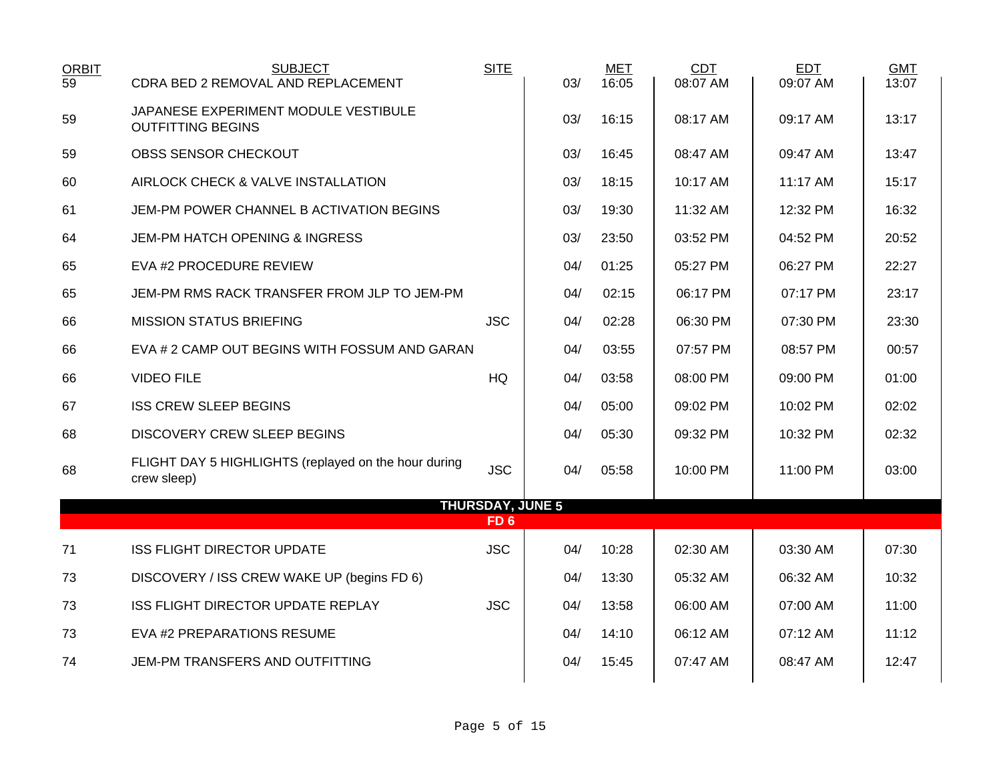| <b>ORBIT</b><br>$\overline{59}$ | <b>SUBJECT</b><br>CDRA BED 2 REMOVAL AND REPLACEMENT                | <b>SITE</b>             | 03/ | <b>MET</b><br>16:05 | <b>CDT</b><br>08:07 AM | EDT<br>09:07 AM | <b>GMT</b><br>13:07 |
|---------------------------------|---------------------------------------------------------------------|-------------------------|-----|---------------------|------------------------|-----------------|---------------------|
|                                 | JAPANESE EXPERIMENT MODULE VESTIBULE                                |                         |     |                     |                        |                 |                     |
| 59                              | <b>OUTFITTING BEGINS</b>                                            |                         | 03/ | 16:15               | 08:17 AM               | 09:17 AM        | 13:17               |
| 59                              | OBSS SENSOR CHECKOUT                                                |                         | 03/ | 16:45               | 08:47 AM               | 09:47 AM        | 13:47               |
| 60                              | AIRLOCK CHECK & VALVE INSTALLATION                                  |                         | 03/ | 18:15               | 10:17 AM               | 11:17 AM        | 15:17               |
| 61                              | JEM-PM POWER CHANNEL B ACTIVATION BEGINS                            |                         | 03/ | 19:30               | 11:32 AM               | 12:32 PM        | 16:32               |
| 64                              | JEM-PM HATCH OPENING & INGRESS                                      |                         | 03/ | 23:50               | 03:52 PM               | 04:52 PM        | 20:52               |
| 65                              | EVA #2 PROCEDURE REVIEW                                             |                         | 04/ | 01:25               | 05:27 PM               | 06:27 PM        | 22:27               |
| 65                              | JEM-PM RMS RACK TRANSFER FROM JLP TO JEM-PM                         |                         | 04/ | 02:15               | 06:17 PM               | 07:17 PM        | 23:17               |
| 66                              | <b>MISSION STATUS BRIEFING</b>                                      | <b>JSC</b>              | 04/ | 02:28               | 06:30 PM               | 07:30 PM        | 23:30               |
| 66                              | EVA # 2 CAMP OUT BEGINS WITH FOSSUM AND GARAN                       |                         | 04/ | 03:55               | 07:57 PM               | 08:57 PM        | 00:57               |
| 66                              | <b>VIDEO FILE</b>                                                   | <b>HQ</b>               | 04/ | 03:58               | 08:00 PM               | 09:00 PM        | 01:00               |
| 67                              | <b>ISS CREW SLEEP BEGINS</b>                                        |                         | 04/ | 05:00               | 09:02 PM               | 10:02 PM        | 02:02               |
| 68                              | <b>DISCOVERY CREW SLEEP BEGINS</b>                                  |                         | 04/ | 05:30               | 09:32 PM               | 10:32 PM        | 02:32               |
| 68                              | FLIGHT DAY 5 HIGHLIGHTS (replayed on the hour during<br>crew sleep) | <b>JSC</b>              | 04/ | 05:58               | 10:00 PM               | 11:00 PM        | 03:00               |
|                                 |                                                                     | <b>THURSDAY, JUNE 5</b> |     |                     |                        |                 |                     |
|                                 |                                                                     | FD <sub>6</sub>         |     |                     |                        |                 |                     |
| 71                              | <b>ISS FLIGHT DIRECTOR UPDATE</b>                                   | <b>JSC</b>              | 04/ | 10:28               | 02:30 AM               | 03:30 AM        | 07:30               |
| 73                              | DISCOVERY / ISS CREW WAKE UP (begins FD 6)                          |                         | 04/ | 13:30               | 05:32 AM               | 06:32 AM        | 10:32               |
| 73                              | ISS FLIGHT DIRECTOR UPDATE REPLAY                                   | <b>JSC</b>              | 04/ | 13:58               | 06:00 AM               | 07:00 AM        | 11:00               |
| 73                              | EVA #2 PREPARATIONS RESUME                                          |                         | 04/ | 14:10               | 06:12 AM               | 07:12 AM        | 11:12               |
| 74                              | JEM-PM TRANSFERS AND OUTFITTING                                     |                         | 04/ | 15:45               | 07:47 AM               | 08:47 AM        | 12:47               |
|                                 |                                                                     |                         |     |                     |                        |                 |                     |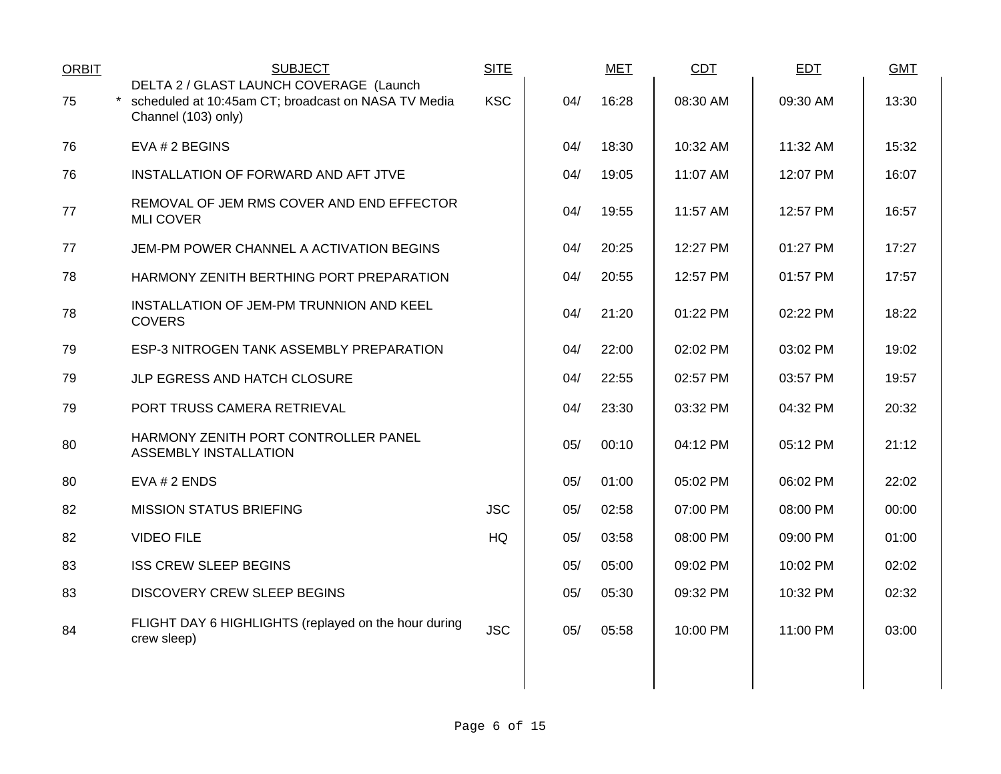| <b>ORBIT</b> | <b>SUBJECT</b>                                                                                                          | <b>SITE</b> |     | <b>MET</b> | <b>CDT</b> | <b>EDT</b> | <b>GMT</b> |
|--------------|-------------------------------------------------------------------------------------------------------------------------|-------------|-----|------------|------------|------------|------------|
| 75           | DELTA 2 / GLAST LAUNCH COVERAGE (Launch<br>* scheduled at 10:45am CT; broadcast on NASA TV Media<br>Channel (103) only) | <b>KSC</b>  | 04/ | 16:28      | 08:30 AM   | 09:30 AM   | 13:30      |
| 76           | EVA # 2 BEGINS                                                                                                          |             | 04/ | 18:30      | 10:32 AM   | 11:32 AM   | 15:32      |
| 76           | INSTALLATION OF FORWARD AND AFT JTVE                                                                                    |             | 04/ | 19:05      | 11:07 AM   | 12:07 PM   | 16:07      |
| 77           | REMOVAL OF JEM RMS COVER AND END EFFECTOR<br><b>MLI COVER</b>                                                           |             | 04/ | 19:55      | 11:57 AM   | 12:57 PM   | 16:57      |
| 77           | JEM-PM POWER CHANNEL A ACTIVATION BEGINS                                                                                |             | 04/ | 20:25      | 12:27 PM   | 01:27 PM   | 17:27      |
| 78           | HARMONY ZENITH BERTHING PORT PREPARATION                                                                                |             | 04/ | 20:55      | 12:57 PM   | 01:57 PM   | 17:57      |
| 78           | INSTALLATION OF JEM-PM TRUNNION AND KEEL<br><b>COVERS</b>                                                               |             | 04/ | 21:20      | 01:22 PM   | 02:22 PM   | 18:22      |
| 79           | ESP-3 NITROGEN TANK ASSEMBLY PREPARATION                                                                                |             | 04/ | 22:00      | 02:02 PM   | 03:02 PM   | 19:02      |
| 79           | JLP EGRESS AND HATCH CLOSURE                                                                                            |             | 04/ | 22:55      | 02:57 PM   | 03:57 PM   | 19:57      |
| 79           | PORT TRUSS CAMERA RETRIEVAL                                                                                             |             | 04/ | 23:30      | 03:32 PM   | 04:32 PM   | 20:32      |
| 80           | HARMONY ZENITH PORT CONTROLLER PANEL<br><b>ASSEMBLY INSTALLATION</b>                                                    |             | 05/ | 00:10      | 04:12 PM   | 05:12 PM   | 21:12      |
| 80           | EVA # 2 ENDS                                                                                                            |             | 05/ | 01:00      | 05:02 PM   | 06:02 PM   | 22:02      |
| 82           | <b>MISSION STATUS BRIEFING</b>                                                                                          | <b>JSC</b>  | 05/ | 02:58      | 07:00 PM   | 08:00 PM   | 00:00      |
| 82           | <b>VIDEO FILE</b>                                                                                                       | HQ          | 05/ | 03:58      | 08:00 PM   | 09:00 PM   | 01:00      |
| 83           | <b>ISS CREW SLEEP BEGINS</b>                                                                                            |             | 05/ | 05:00      | 09:02 PM   | 10:02 PM   | 02:02      |
| 83           | <b>DISCOVERY CREW SLEEP BEGINS</b>                                                                                      |             | 05/ | 05:30      | 09:32 PM   | 10:32 PM   | 02:32      |
| 84           | FLIGHT DAY 6 HIGHLIGHTS (replayed on the hour during<br>crew sleep)                                                     | <b>JSC</b>  | 05/ | 05:58      | 10:00 PM   | 11:00 PM   | 03:00      |
|              |                                                                                                                         |             |     |            |            |            |            |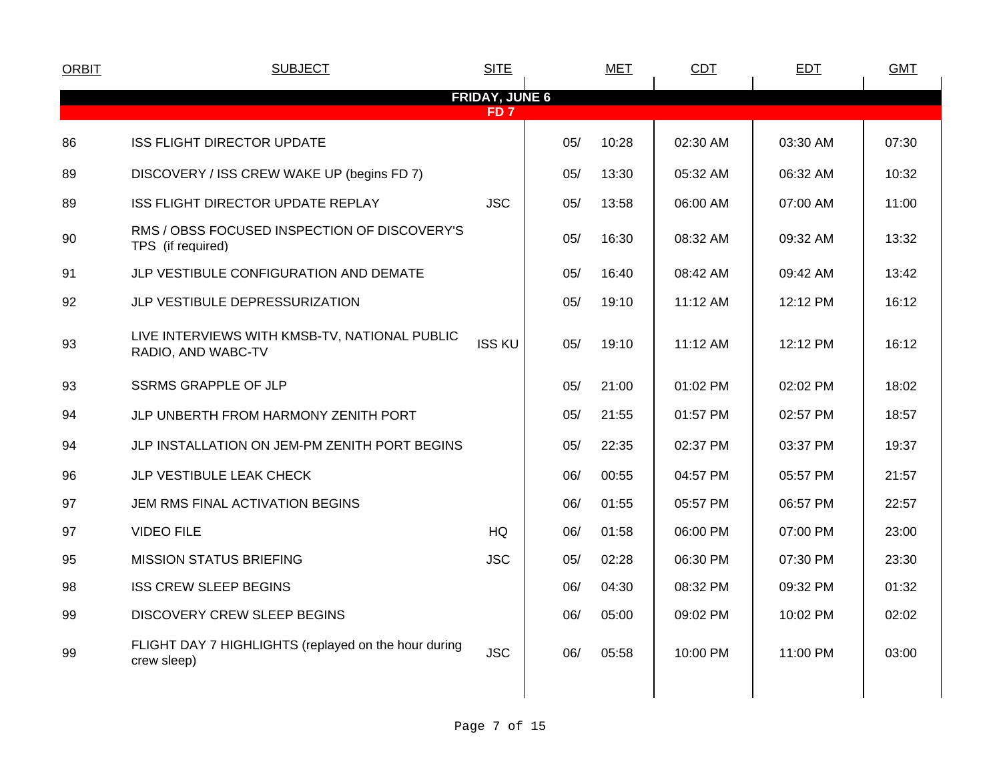| <b>ORBIT</b> | <b>SUBJECT</b>                                                      | <b>SITE</b>           |     | <b>MET</b> | <b>CDT</b> | <b>EDT</b> | <b>GMT</b> |  |
|--------------|---------------------------------------------------------------------|-----------------------|-----|------------|------------|------------|------------|--|
|              |                                                                     | <b>FRIDAY, JUNE 6</b> |     |            |            |            |            |  |
|              |                                                                     | FD <sub>7</sub>       |     |            |            |            |            |  |
| 86           | <b>ISS FLIGHT DIRECTOR UPDATE</b>                                   |                       | 05/ | 10:28      | 02:30 AM   | 03:30 AM   | 07:30      |  |
| 89           | DISCOVERY / ISS CREW WAKE UP (begins FD 7)                          |                       | 05/ | 13:30      | 05:32 AM   | 06:32 AM   | 10:32      |  |
| 89           | <b>ISS FLIGHT DIRECTOR UPDATE REPLAY</b>                            | <b>JSC</b>            | 05/ | 13:58      | 06:00 AM   | 07:00 AM   | 11:00      |  |
| 90           | RMS / OBSS FOCUSED INSPECTION OF DISCOVERY'S<br>TPS (if required)   |                       | 05/ | 16:30      | 08:32 AM   | 09:32 AM   | 13:32      |  |
| 91           | JLP VESTIBULE CONFIGURATION AND DEMATE                              |                       | 05/ | 16:40      | 08:42 AM   | 09:42 AM   | 13:42      |  |
| 92           | JLP VESTIBULE DEPRESSURIZATION                                      |                       | 05/ | 19:10      | 11:12 AM   | 12:12 PM   | 16:12      |  |
| 93           | LIVE INTERVIEWS WITH KMSB-TV, NATIONAL PUBLIC<br>RADIO, AND WABC-TV | <b>ISS KU</b>         | 05/ | 19:10      | 11:12 AM   | 12:12 PM   | 16:12      |  |
| 93           | <b>SSRMS GRAPPLE OF JLP</b>                                         |                       | 05/ | 21:00      | 01:02 PM   | 02:02 PM   | 18:02      |  |
| 94           | JLP UNBERTH FROM HARMONY ZENITH PORT                                |                       | 05/ | 21:55      | 01:57 PM   | 02:57 PM   | 18:57      |  |
| 94           | JLP INSTALLATION ON JEM-PM ZENITH PORT BEGINS                       |                       | 05/ | 22:35      | 02:37 PM   | 03:37 PM   | 19:37      |  |
| 96           | JLP VESTIBULE LEAK CHECK                                            |                       | 06/ | 00:55      | 04:57 PM   | 05:57 PM   | 21:57      |  |
| 97           | JEM RMS FINAL ACTIVATION BEGINS                                     |                       | 06/ | 01:55      | 05:57 PM   | 06:57 PM   | 22:57      |  |
| 97           | <b>VIDEO FILE</b>                                                   | <b>HQ</b>             | 06/ | 01:58      | 06:00 PM   | 07:00 PM   | 23:00      |  |
| 95           | <b>MISSION STATUS BRIEFING</b>                                      | <b>JSC</b>            | 05/ | 02:28      | 06:30 PM   | 07:30 PM   | 23:30      |  |
| 98           | <b>ISS CREW SLEEP BEGINS</b>                                        |                       | 06/ | 04:30      | 08:32 PM   | 09:32 PM   | 01:32      |  |
| 99           | DISCOVERY CREW SLEEP BEGINS                                         |                       | 06/ | 05:00      | 09:02 PM   | 10:02 PM   | 02:02      |  |
| 99           | FLIGHT DAY 7 HIGHLIGHTS (replayed on the hour during<br>crew sleep) | <b>JSC</b>            | 06/ | 05:58      | 10:00 PM   | 11:00 PM   | 03:00      |  |
|              |                                                                     |                       |     |            |            |            |            |  |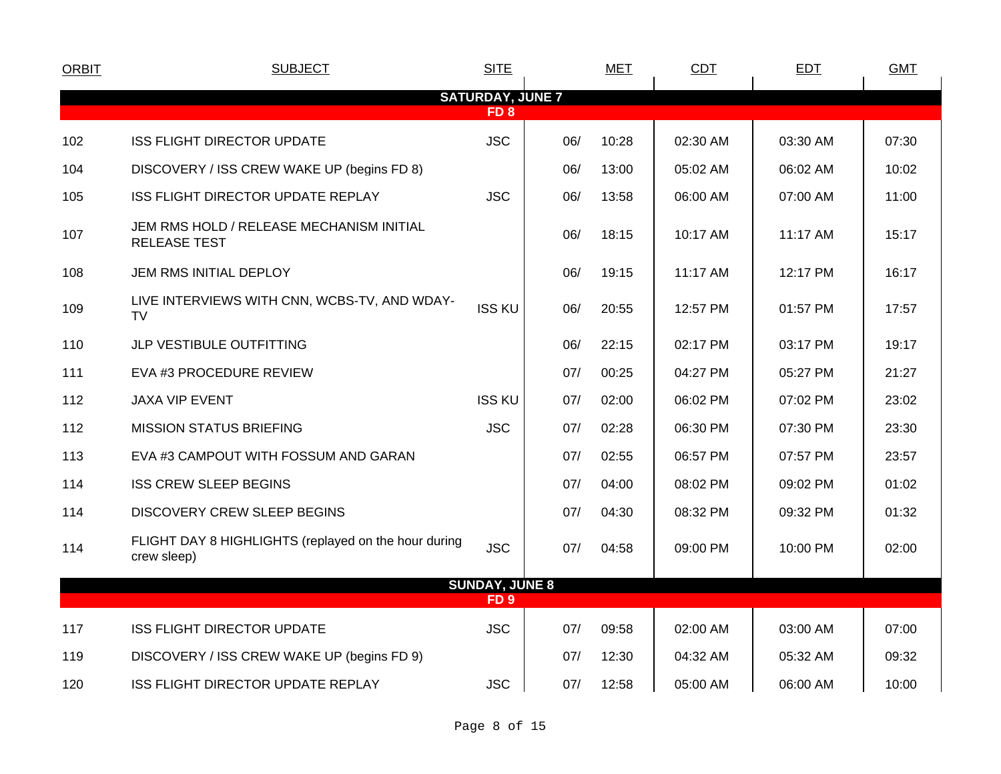| <b>ORBIT</b> | <b>SUBJECT</b>                                                      | <b>SITE</b>             |     | <b>MET</b> | CDT      | <b>EDT</b> | <b>GMT</b> |  |  |  |  |  |  |
|--------------|---------------------------------------------------------------------|-------------------------|-----|------------|----------|------------|------------|--|--|--|--|--|--|
|              |                                                                     | <b>SATURDAY, JUNE 7</b> |     |            |          |            |            |  |  |  |  |  |  |
|              | FD <sub>8</sub>                                                     |                         |     |            |          |            |            |  |  |  |  |  |  |
| 102          | <b>ISS FLIGHT DIRECTOR UPDATE</b>                                   | <b>JSC</b>              | 06/ | 10:28      | 02:30 AM | 03:30 AM   | 07:30      |  |  |  |  |  |  |
| 104          | DISCOVERY / ISS CREW WAKE UP (begins FD 8)                          |                         | 06/ | 13:00      | 05:02 AM | 06:02 AM   | 10:02      |  |  |  |  |  |  |
| 105          | ISS FLIGHT DIRECTOR UPDATE REPLAY                                   | <b>JSC</b>              | 06/ | 13:58      | 06:00 AM | 07:00 AM   | 11:00      |  |  |  |  |  |  |
| 107          | JEM RMS HOLD / RELEASE MECHANISM INITIAL<br><b>RELEASE TEST</b>     |                         | 06/ | 18:15      | 10:17 AM | 11:17 AM   | 15:17      |  |  |  |  |  |  |
| 108          | JEM RMS INITIAL DEPLOY                                              |                         | 06/ | 19:15      | 11:17 AM | 12:17 PM   | 16:17      |  |  |  |  |  |  |
| 109          | LIVE INTERVIEWS WITH CNN, WCBS-TV, AND WDAY-<br><b>TV</b>           | <b>ISS KU</b>           | 06/ | 20:55      | 12:57 PM | 01:57 PM   | 17:57      |  |  |  |  |  |  |
| 110          | JLP VESTIBULE OUTFITTING                                            |                         | 06/ | 22:15      | 02:17 PM | 03:17 PM   | 19:17      |  |  |  |  |  |  |
| 111          | EVA #3 PROCEDURE REVIEW                                             |                         | 07/ | 00:25      | 04:27 PM | 05:27 PM   | 21:27      |  |  |  |  |  |  |
| 112          | <b>JAXA VIP EVENT</b>                                               | <b>ISS KU</b>           | 07/ | 02:00      | 06:02 PM | 07:02 PM   | 23:02      |  |  |  |  |  |  |
| 112          | <b>MISSION STATUS BRIEFING</b>                                      | <b>JSC</b>              | 07/ | 02:28      | 06:30 PM | 07:30 PM   | 23:30      |  |  |  |  |  |  |
| 113          | EVA #3 CAMPOUT WITH FOSSUM AND GARAN                                |                         | 07/ | 02:55      | 06:57 PM | 07:57 PM   | 23:57      |  |  |  |  |  |  |
| 114          | <b>ISS CREW SLEEP BEGINS</b>                                        |                         | 07/ | 04:00      | 08:02 PM | 09:02 PM   | 01:02      |  |  |  |  |  |  |
| 114          | <b>DISCOVERY CREW SLEEP BEGINS</b>                                  |                         | 07/ | 04:30      | 08:32 PM | 09:32 PM   | 01:32      |  |  |  |  |  |  |
| 114          | FLIGHT DAY 8 HIGHLIGHTS (replayed on the hour during<br>crew sleep) | <b>JSC</b>              | 07/ | 04:58      | 09:00 PM | 10:00 PM   | 02:00      |  |  |  |  |  |  |
|              |                                                                     | <b>SUNDAY, JUNE 8</b>   |     |            |          |            |            |  |  |  |  |  |  |
|              |                                                                     | FD <sub>9</sub>         |     |            |          |            |            |  |  |  |  |  |  |
| 117          | <b>ISS FLIGHT DIRECTOR UPDATE</b>                                   | <b>JSC</b>              | 07/ | 09:58      | 02:00 AM | 03:00 AM   | 07:00      |  |  |  |  |  |  |
| 119          | DISCOVERY / ISS CREW WAKE UP (begins FD 9)                          |                         | 07/ | 12:30      | 04:32 AM | 05:32 AM   | 09:32      |  |  |  |  |  |  |
| 120          | ISS FLIGHT DIRECTOR UPDATE REPLAY                                   | <b>JSC</b>              | 07/ | 12:58      | 05:00 AM | 06:00 AM   | 10:00      |  |  |  |  |  |  |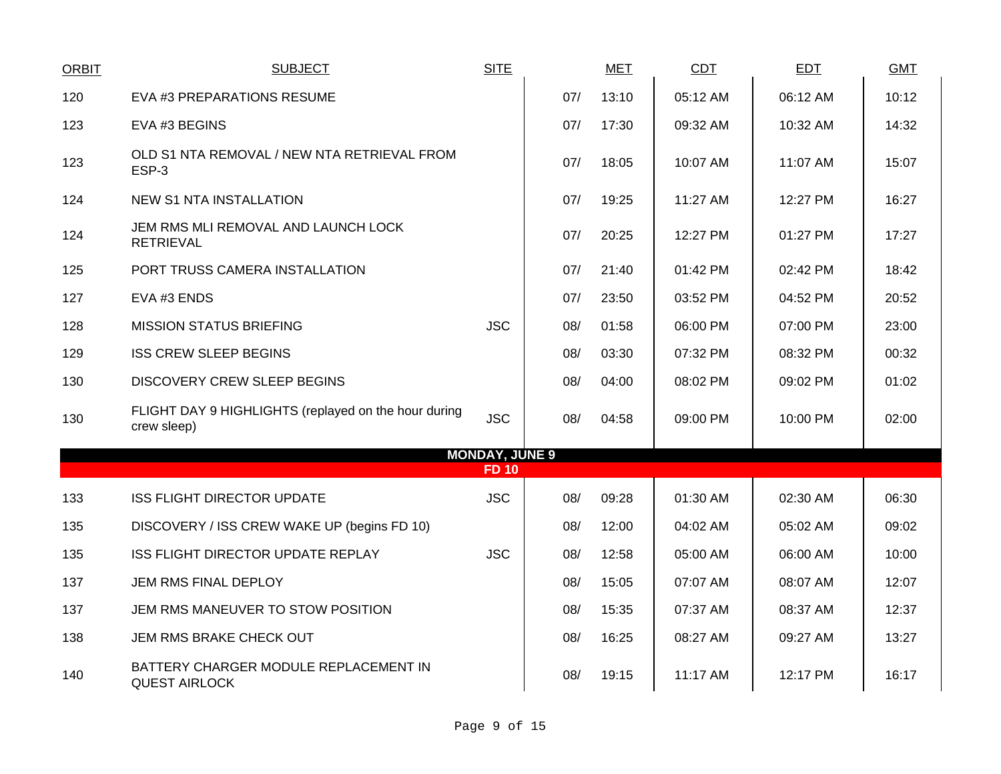| <b>ORBIT</b> | <b>SUBJECT</b>                                                      | <b>SITE</b>           |     | <b>MET</b> | CDT      | <b>EDT</b> | <b>GMT</b> |
|--------------|---------------------------------------------------------------------|-----------------------|-----|------------|----------|------------|------------|
| 120          | EVA #3 PREPARATIONS RESUME                                          |                       | 07/ | 13:10      | 05:12 AM | 06:12 AM   | 10:12      |
| 123          | EVA #3 BEGINS                                                       |                       | 07/ | 17:30      | 09:32 AM | 10:32 AM   | 14:32      |
| 123          | OLD S1 NTA REMOVAL / NEW NTA RETRIEVAL FROM<br>ESP-3                |                       | 07/ | 18:05      | 10:07 AM | 11:07 AM   | 15:07      |
| 124          | <b>NEW S1 NTA INSTALLATION</b>                                      |                       | 07/ | 19:25      | 11:27 AM | 12:27 PM   | 16:27      |
| 124          | JEM RMS MLI REMOVAL AND LAUNCH LOCK<br><b>RETRIEVAL</b>             |                       | 07/ | 20:25      | 12:27 PM | 01:27 PM   | 17:27      |
| 125          | PORT TRUSS CAMERA INSTALLATION                                      |                       | 07/ | 21:40      | 01:42 PM | 02:42 PM   | 18:42      |
| 127          | EVA #3 ENDS                                                         |                       | 07/ | 23:50      | 03:52 PM | 04:52 PM   | 20:52      |
| 128          | <b>MISSION STATUS BRIEFING</b>                                      | <b>JSC</b>            | 08/ | 01:58      | 06:00 PM | 07:00 PM   | 23:00      |
| 129          | <b>ISS CREW SLEEP BEGINS</b>                                        |                       | 08/ | 03:30      | 07:32 PM | 08:32 PM   | 00:32      |
| 130          | <b>DISCOVERY CREW SLEEP BEGINS</b>                                  |                       | 08/ | 04:00      | 08:02 PM | 09:02 PM   | 01:02      |
| 130          | FLIGHT DAY 9 HIGHLIGHTS (replayed on the hour during<br>crew sleep) | <b>JSC</b>            | 08/ | 04:58      | 09:00 PM | 10:00 PM   | 02:00      |
|              |                                                                     | <b>MONDAY, JUNE 9</b> |     |            |          |            |            |
|              |                                                                     | <b>FD 10</b>          |     |            |          |            |            |
| 133          | <b>ISS FLIGHT DIRECTOR UPDATE</b>                                   | <b>JSC</b>            | 08/ | 09:28      | 01:30 AM | 02:30 AM   | 06:30      |
| 135          | DISCOVERY / ISS CREW WAKE UP (begins FD 10)                         |                       | 08/ | 12:00      | 04:02 AM | 05:02 AM   | 09:02      |
| 135          | ISS FLIGHT DIRECTOR UPDATE REPLAY                                   | <b>JSC</b>            | 08/ | 12:58      | 05:00 AM | 06:00 AM   | 10:00      |
| 137          | JEM RMS FINAL DEPLOY                                                |                       | 08/ | 15:05      | 07:07 AM | 08:07 AM   | 12:07      |
| 137          | JEM RMS MANEUVER TO STOW POSITION                                   |                       | 08/ | 15:35      | 07:37 AM | 08:37 AM   | 12:37      |
| 138          | JEM RMS BRAKE CHECK OUT                                             |                       | 08/ | 16:25      | 08:27 AM | 09:27 AM   | 13:27      |
| 140          | BATTERY CHARGER MODULE REPLACEMENT IN<br><b>QUEST AIRLOCK</b>       |                       | 08/ | 19:15      | 11:17 AM | 12:17 PM   | 16:17      |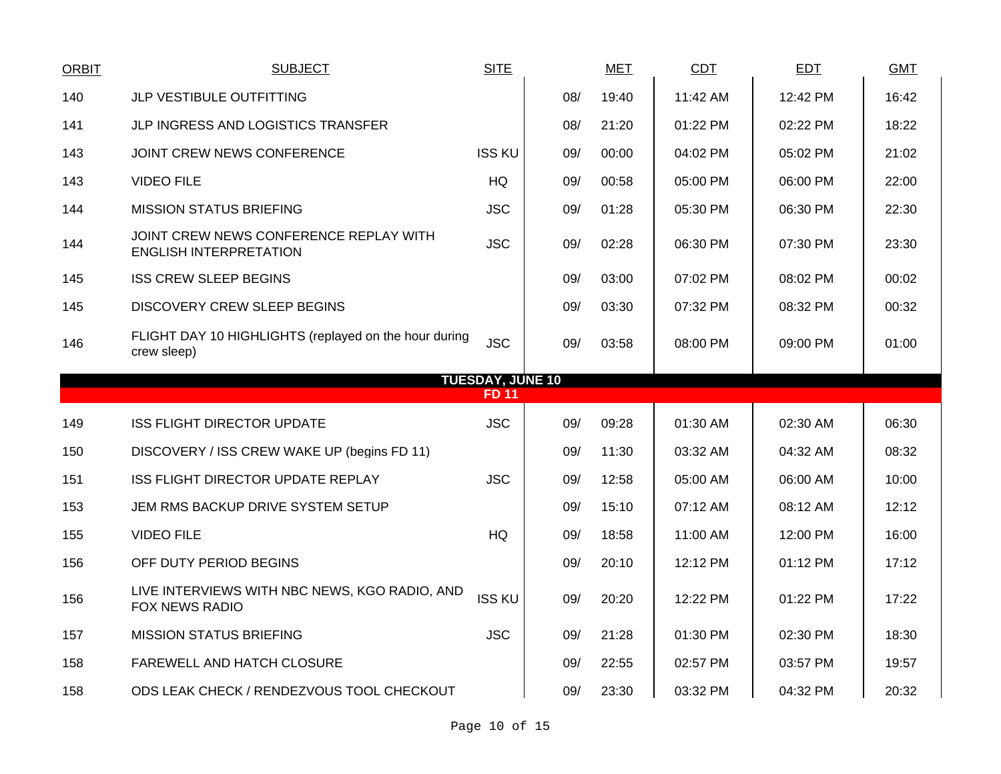| ORBIT | <b>SUBJECT</b>                                                          | <b>SITE</b>             |     | <b>MET</b> | <b>CDT</b> | <b>EDT</b> | <b>GMT</b> |
|-------|-------------------------------------------------------------------------|-------------------------|-----|------------|------------|------------|------------|
| 140   | <b>JLP VESTIBULE OUTFITTING</b>                                         |                         | 08/ | 19:40      | 11:42 AM   | 12:42 PM   | 16:42      |
| 141   | JLP INGRESS AND LOGISTICS TRANSFER                                      |                         | 08/ | 21:20      | 01:22 PM   | 02:22 PM   | 18:22      |
| 143   | JOINT CREW NEWS CONFERENCE                                              | <b>ISS KU</b>           | 09/ | 00:00      | 04:02 PM   | 05:02 PM   | 21:02      |
| 143   | <b>VIDEO FILE</b>                                                       | HQ                      | 09/ | 00:58      | 05:00 PM   | 06:00 PM   | 22:00      |
| 144   | MISSION STATUS BRIEFING                                                 | <b>JSC</b>              | 09/ | 01:28      | 05:30 PM   | 06:30 PM   | 22:30      |
| 144   | JOINT CREW NEWS CONFERENCE REPLAY WITH<br><b>ENGLISH INTERPRETATION</b> | <b>JSC</b>              | 09/ | 02:28      | 06:30 PM   | 07:30 PM   | 23:30      |
| 145   | <b>ISS CREW SLEEP BEGINS</b>                                            |                         | 09/ | 03:00      | 07:02 PM   | 08:02 PM   | 00:02      |
| 145   | DISCOVERY CREW SLEEP BEGINS                                             |                         | 09/ | 03:30      | 07:32 PM   | 08:32 PM   | 00:32      |
| 146   | FLIGHT DAY 10 HIGHLIGHTS (replayed on the hour during<br>crew sleep)    | <b>JSC</b>              | 09/ | 03:58      | 08:00 PM   | 09:00 PM   | 01:00      |
|       |                                                                         | <b>TUESDAY, JUNE 10</b> |     |            |            |            |            |
|       |                                                                         | FD 11                   |     |            |            |            |            |
| 149   | <b>ISS FLIGHT DIRECTOR UPDATE</b>                                       | <b>JSC</b>              | 09/ | 09:28      | 01:30 AM   | 02:30 AM   | 06:30      |
| 150   | DISCOVERY / ISS CREW WAKE UP (begins FD 11)                             |                         | 09/ | 11:30      | 03:32 AM   | 04:32 AM   | 08:32      |
| 151   | ISS FLIGHT DIRECTOR UPDATE REPLAY                                       | <b>JSC</b>              | 09/ | 12:58      | 05:00 AM   | 06:00 AM   | 10:00      |
| 153   | JEM RMS BACKUP DRIVE SYSTEM SETUP                                       |                         | 09/ | 15:10      | 07:12 AM   | 08:12 AM   | 12:12      |
| 155   | <b>VIDEO FILE</b>                                                       | HQ                      | 09/ | 18:58      | 11:00 AM   | 12:00 PM   | 16:00      |
| 156   | OFF DUTY PERIOD BEGINS                                                  |                         | 09/ | 20:10      | 12:12 PM   | 01:12 PM   | 17:12      |
| 156   | LIVE INTERVIEWS WITH NBC NEWS, KGO RADIO, AND<br><b>FOX NEWS RADIO</b>  | <b>ISS KU</b>           | 09/ | 20:20      | 12:22 PM   | 01:22 PM   | 17:22      |
| 157   | <b>MISSION STATUS BRIEFING</b>                                          | <b>JSC</b>              | 09/ | 21:28      | 01:30 PM   | 02:30 PM   | 18:30      |
| 158   | FAREWELL AND HATCH CLOSURE                                              |                         | 09/ | 22:55      | 02:57 PM   | 03:57 PM   | 19:57      |
| 158   | ODS LEAK CHECK / RENDEZVOUS TOOL CHECKOUT                               |                         | 09/ | 23:30      | 03:32 PM   | 04:32 PM   | 20:32      |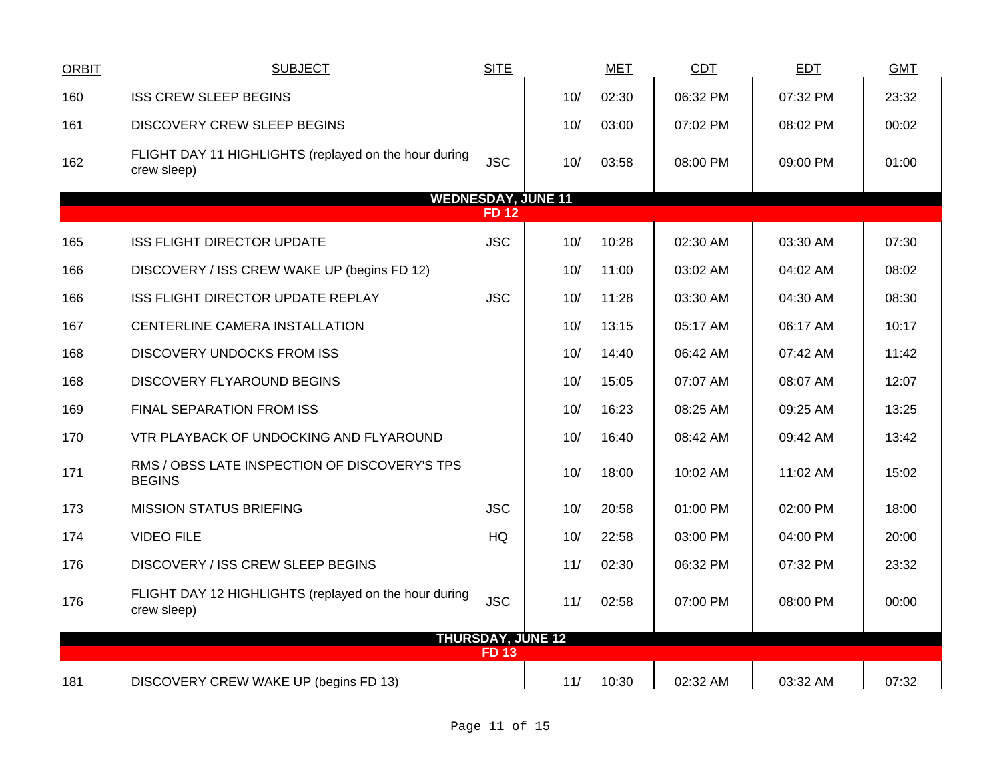| <b>ORBIT</b> | <b>SUBJECT</b>                                                       | <b>SITE</b>              |                           | <b>MET</b> | <b>CDT</b> | <b>EDT</b> | <b>GMT</b> |
|--------------|----------------------------------------------------------------------|--------------------------|---------------------------|------------|------------|------------|------------|
| 160          | <b>ISS CREW SLEEP BEGINS</b>                                         |                          | 10/                       | 02:30      | 06:32 PM   | 07:32 PM   | 23:32      |
| 161          | <b>DISCOVERY CREW SLEEP BEGINS</b>                                   |                          | 10/                       | 03:00      | 07:02 PM   | 08:02 PM   | 00:02      |
| 162          | FLIGHT DAY 11 HIGHLIGHTS (replayed on the hour during<br>crew sleep) | <b>JSC</b>               | 10/                       | 03:58      | 08:00 PM   | 09:00 PM   | 01:00      |
|              |                                                                      |                          | <b>WEDNESDAY, JUNE 11</b> |            |            |            |            |
|              |                                                                      | FD 12                    |                           |            |            |            |            |
| 165          | <b>ISS FLIGHT DIRECTOR UPDATE</b>                                    | <b>JSC</b>               | 10/                       | 10:28      | 02:30 AM   | 03:30 AM   | 07:30      |
| 166          | DISCOVERY / ISS CREW WAKE UP (begins FD 12)                          |                          | 10/                       | 11:00      | 03:02 AM   | 04:02 AM   | 08:02      |
| 166          | ISS FLIGHT DIRECTOR UPDATE REPLAY                                    | <b>JSC</b>               | 10/                       | 11:28      | 03:30 AM   | 04:30 AM   | 08:30      |
| 167          | CENTERLINE CAMERA INSTALLATION                                       |                          | 10/                       | 13:15      | 05:17 AM   | 06:17 AM   | 10:17      |
| 168          | <b>DISCOVERY UNDOCKS FROM ISS</b>                                    |                          | 10/                       | 14:40      | 06:42 AM   | 07:42 AM   | 11:42      |
| 168          | DISCOVERY FLYAROUND BEGINS                                           |                          | 10/                       | 15:05      | 07:07 AM   | 08:07 AM   | 12:07      |
| 169          | FINAL SEPARATION FROM ISS                                            |                          | 10/                       | 16:23      | 08:25 AM   | 09:25 AM   | 13:25      |
| 170          | VTR PLAYBACK OF UNDOCKING AND FLYAROUND                              |                          | 10/                       | 16:40      | 08:42 AM   | 09:42 AM   | 13:42      |
| 171          | RMS / OBSS LATE INSPECTION OF DISCOVERY'S TPS<br><b>BEGINS</b>       |                          | 10/                       | 18:00      | 10:02 AM   | 11:02 AM   | 15:02      |
| 173          | <b>MISSION STATUS BRIEFING</b>                                       | <b>JSC</b>               | 10/                       | 20:58      | 01:00 PM   | 02:00 PM   | 18:00      |
| 174          | <b>VIDEO FILE</b>                                                    | <b>HQ</b>                | 10/                       | 22:58      | 03:00 PM   | 04:00 PM   | 20:00      |
| 176          | DISCOVERY / ISS CREW SLEEP BEGINS                                    |                          | 11/                       | 02:30      | 06:32 PM   | 07:32 PM   | 23:32      |
| 176          | FLIGHT DAY 12 HIGHLIGHTS (replayed on the hour during<br>crew sleep) | <b>JSC</b>               | 11/                       | 02:58      | 07:00 PM   | 08:00 PM   | 00:00      |
|              |                                                                      | <b>THURSDAY, JUNE 12</b> |                           |            |            |            |            |
|              |                                                                      | <b>FD 13</b>             |                           |            |            |            |            |
| 181          | DISCOVERY CREW WAKE UP (begins FD 13)                                |                          | 11/                       | 10:30      | 02:32 AM   | 03:32 AM   | 07:32      |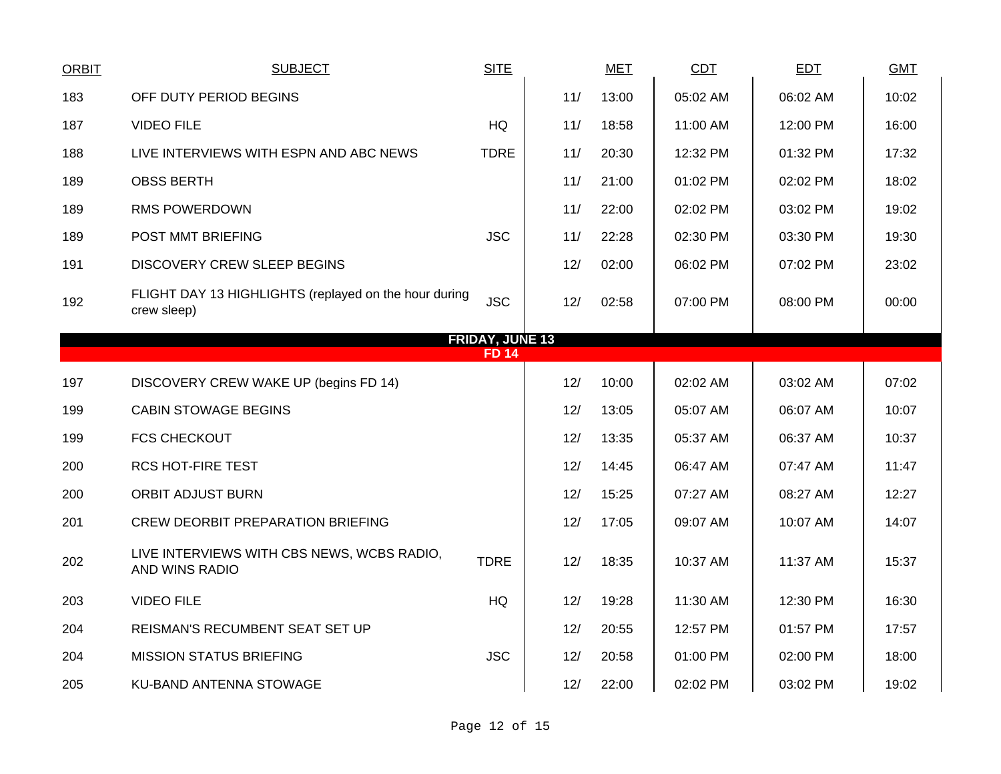| <b>ORBIT</b> | <b>SUBJECT</b>                                                       | <b>SITE</b>  |     | <b>MET</b> | <b>CDT</b> | <b>EDT</b> | <b>GMT</b> |  |  |  |  |  |
|--------------|----------------------------------------------------------------------|--------------|-----|------------|------------|------------|------------|--|--|--|--|--|
| 183          | OFF DUTY PERIOD BEGINS                                               |              | 11/ | 13:00      | 05:02 AM   | 06:02 AM   | 10:02      |  |  |  |  |  |
| 187          | <b>VIDEO FILE</b>                                                    | HQ           | 11/ | 18:58      | 11:00 AM   | 12:00 PM   | 16:00      |  |  |  |  |  |
| 188          | LIVE INTERVIEWS WITH ESPN AND ABC NEWS                               | <b>TDRE</b>  | 11/ | 20:30      | 12:32 PM   | 01:32 PM   | 17:32      |  |  |  |  |  |
| 189          | <b>OBSS BERTH</b>                                                    |              | 11/ | 21:00      | 01:02 PM   | 02:02 PM   | 18:02      |  |  |  |  |  |
| 189          | <b>RMS POWERDOWN</b>                                                 |              | 11/ | 22:00      | 02:02 PM   | 03:02 PM   | 19:02      |  |  |  |  |  |
| 189          | POST MMT BRIEFING                                                    | <b>JSC</b>   | 11/ | 22:28      | 02:30 PM   | 03:30 PM   | 19:30      |  |  |  |  |  |
| 191          | <b>DISCOVERY CREW SLEEP BEGINS</b>                                   |              | 12/ | 02:00      | 06:02 PM   | 07:02 PM   | 23:02      |  |  |  |  |  |
| 192          | FLIGHT DAY 13 HIGHLIGHTS (replayed on the hour during<br>crew sleep) | <b>JSC</b>   | 12/ | 02:58      | 07:00 PM   | 08:00 PM   | 00:00      |  |  |  |  |  |
|              | <b>FRIDAY, JUNE 13</b>                                               |              |     |            |            |            |            |  |  |  |  |  |
|              |                                                                      | <b>FD 14</b> |     |            |            |            |            |  |  |  |  |  |
| 197          | DISCOVERY CREW WAKE UP (begins FD 14)                                |              | 12/ | 10:00      | 02:02 AM   | 03:02 AM   | 07:02      |  |  |  |  |  |
| 199          | <b>CABIN STOWAGE BEGINS</b>                                          |              | 12/ | 13:05      | 05:07 AM   | 06:07 AM   | 10:07      |  |  |  |  |  |
| 199          | <b>FCS CHECKOUT</b>                                                  |              | 12/ | 13:35      | 05:37 AM   | 06:37 AM   | 10:37      |  |  |  |  |  |
| 200          | <b>RCS HOT-FIRE TEST</b>                                             |              | 12/ | 14:45      | 06:47 AM   | 07:47 AM   | 11:47      |  |  |  |  |  |
| 200          | <b>ORBIT ADJUST BURN</b>                                             |              | 12/ | 15:25      | 07:27 AM   | 08:27 AM   | 12:27      |  |  |  |  |  |
| 201          | <b>CREW DEORBIT PREPARATION BRIEFING</b>                             |              | 12/ | 17:05      | 09:07 AM   | 10:07 AM   | 14:07      |  |  |  |  |  |
| 202          | LIVE INTERVIEWS WITH CBS NEWS, WCBS RADIO,<br>AND WINS RADIO         | <b>TDRE</b>  | 12/ | 18:35      | 10:37 AM   | 11:37 AM   | 15:37      |  |  |  |  |  |
| 203          | <b>VIDEO FILE</b>                                                    | HQ           | 12/ | 19:28      | 11:30 AM   | 12:30 PM   | 16:30      |  |  |  |  |  |
| 204          | REISMAN'S RECUMBENT SEAT SET UP                                      |              | 12/ | 20:55      | 12:57 PM   | 01:57 PM   | 17:57      |  |  |  |  |  |
| 204          | <b>MISSION STATUS BRIEFING</b>                                       | <b>JSC</b>   | 12/ | 20:58      | 01:00 PM   | 02:00 PM   | 18:00      |  |  |  |  |  |
| 205          | KU-BAND ANTENNA STOWAGE                                              |              | 12/ | 22:00      | 02:02 PM   | 03:02 PM   | 19:02      |  |  |  |  |  |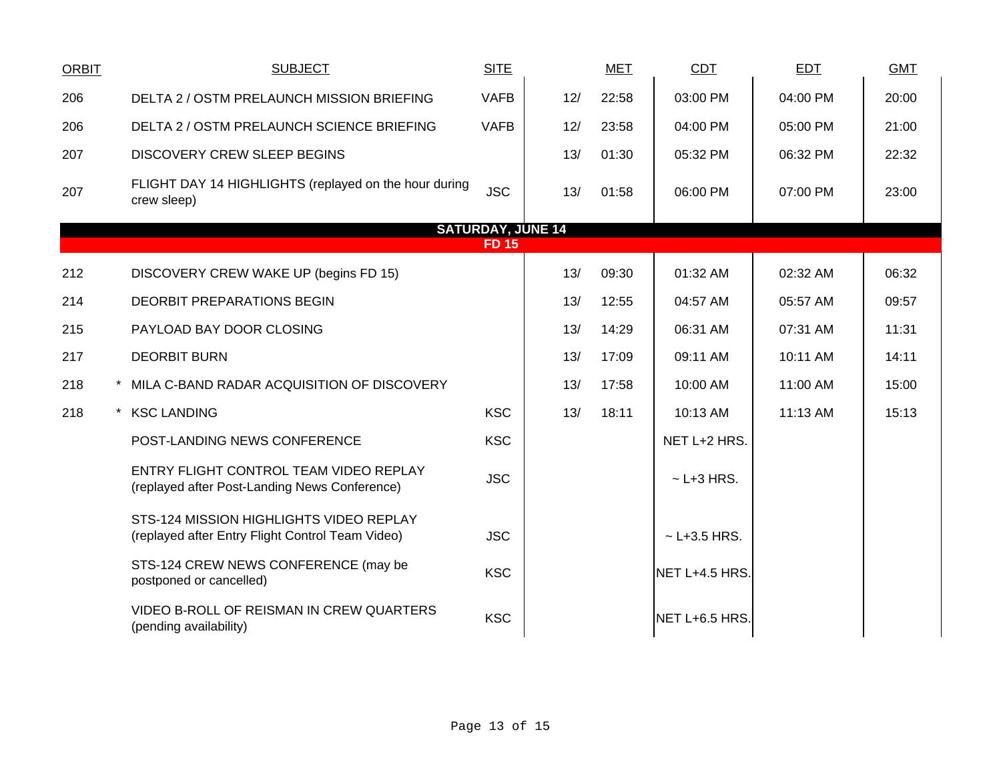| <b>ORBIT</b> | <b>SUBJECT</b>                                                                              | <b>SITE</b>  |     | <b>MET</b> | <b>CDT</b>        | <b>EDT</b> | <b>GMT</b> |  |
|--------------|---------------------------------------------------------------------------------------------|--------------|-----|------------|-------------------|------------|------------|--|
| 206          | DELTA 2 / OSTM PRELAUNCH MISSION BRIEFING                                                   | <b>VAFB</b>  | 12/ | 22:58      | 03:00 PM          | 04:00 PM   | 20:00      |  |
| 206          | DELTA 2 / OSTM PRELAUNCH SCIENCE BRIEFING                                                   | <b>VAFB</b>  | 12/ | 23:58      | 04:00 PM          | 05:00 PM   | 21:00      |  |
| 207          | <b>DISCOVERY CREW SLEEP BEGINS</b>                                                          |              | 13/ | 01:30      | 05:32 PM          | 06:32 PM   | 22:32      |  |
| 207          | FLIGHT DAY 14 HIGHLIGHTS (replayed on the hour during<br>crew sleep)                        | <b>JSC</b>   | 13/ | 01:58      | 06:00 PM          | 07:00 PM   | 23:00      |  |
|              | <b>SATURDAY, JUNE 14</b>                                                                    |              |     |            |                   |            |            |  |
|              |                                                                                             | <b>FD 15</b> |     |            |                   |            |            |  |
| 212          | DISCOVERY CREW WAKE UP (begins FD 15)                                                       |              | 13/ | 09:30      | 01:32 AM          | 02:32 AM   | 06:32      |  |
| 214          | <b>DEORBIT PREPARATIONS BEGIN</b>                                                           |              | 13/ | 12:55      | 04:57 AM          | 05:57 AM   | 09:57      |  |
| 215          | PAYLOAD BAY DOOR CLOSING                                                                    |              | 13/ | 14:29      | 06:31 AM          | 07:31 AM   | 11:31      |  |
| 217          | <b>DEORBIT BURN</b>                                                                         |              | 13/ | 17:09      | 09:11 AM          | 10:11 AM   | 14:11      |  |
| 218          | * MILA C-BAND RADAR ACQUISITION OF DISCOVERY                                                |              | 13/ | 17:58      | 10:00 AM          | 11:00 AM   | 15:00      |  |
| 218          | * KSC LANDING                                                                               | <b>KSC</b>   | 13/ | 18:11      | 10:13 AM          | 11:13 AM   | 15:13      |  |
|              | POST-LANDING NEWS CONFERENCE                                                                | <b>KSC</b>   |     |            | NET L+2 HRS.      |            |            |  |
|              | ENTRY FLIGHT CONTROL TEAM VIDEO REPLAY<br>(replayed after Post-Landing News Conference)     | <b>JSC</b>   |     |            | $\sim$ L+3 HRS.   |            |            |  |
|              | STS-124 MISSION HIGHLIGHTS VIDEO REPLAY<br>(replayed after Entry Flight Control Team Video) | <b>JSC</b>   |     |            | $\sim$ L+3.5 HRS. |            |            |  |
|              | STS-124 CREW NEWS CONFERENCE (may be<br>postponed or cancelled)                             | <b>KSC</b>   |     |            | NET L+4.5 HRS.    |            |            |  |
|              | VIDEO B-ROLL OF REISMAN IN CREW QUARTERS<br>(pending availability)                          | <b>KSC</b>   |     |            | NET L+6.5 HRS.    |            |            |  |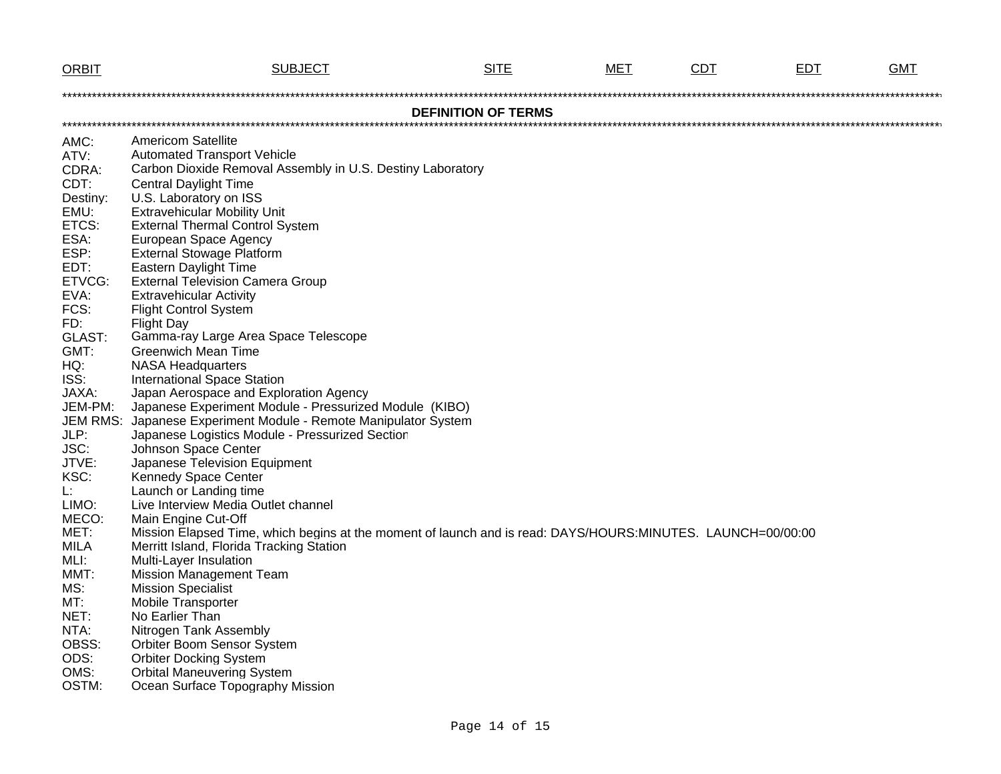| <b>ORBIT</b>                                                                                                                                                                                  | <b>SUBJECT</b>                                                                                                                                                                                                                                                                                                                                                                                                                                                                                                                                                                                                                                                                                                                                                                                                                                                                | <b>SITE</b> | MET | <b>CDT</b> | <b>EDT</b> | <b>GMT</b> |  |
|-----------------------------------------------------------------------------------------------------------------------------------------------------------------------------------------------|-------------------------------------------------------------------------------------------------------------------------------------------------------------------------------------------------------------------------------------------------------------------------------------------------------------------------------------------------------------------------------------------------------------------------------------------------------------------------------------------------------------------------------------------------------------------------------------------------------------------------------------------------------------------------------------------------------------------------------------------------------------------------------------------------------------------------------------------------------------------------------|-------------|-----|------------|------------|------------|--|
|                                                                                                                                                                                               |                                                                                                                                                                                                                                                                                                                                                                                                                                                                                                                                                                                                                                                                                                                                                                                                                                                                               |             |     |            |            |            |  |
| <b>DEFINITION OF TERMS</b>                                                                                                                                                                    |                                                                                                                                                                                                                                                                                                                                                                                                                                                                                                                                                                                                                                                                                                                                                                                                                                                                               |             |     |            |            |            |  |
|                                                                                                                                                                                               |                                                                                                                                                                                                                                                                                                                                                                                                                                                                                                                                                                                                                                                                                                                                                                                                                                                                               |             |     |            |            |            |  |
| AMC:                                                                                                                                                                                          | <b>Americom Satellite</b>                                                                                                                                                                                                                                                                                                                                                                                                                                                                                                                                                                                                                                                                                                                                                                                                                                                     |             |     |            |            |            |  |
| ATV:                                                                                                                                                                                          | <b>Automated Transport Vehicle</b>                                                                                                                                                                                                                                                                                                                                                                                                                                                                                                                                                                                                                                                                                                                                                                                                                                            |             |     |            |            |            |  |
| CDRA:                                                                                                                                                                                         | Carbon Dioxide Removal Assembly in U.S. Destiny Laboratory                                                                                                                                                                                                                                                                                                                                                                                                                                                                                                                                                                                                                                                                                                                                                                                                                    |             |     |            |            |            |  |
| CDT:                                                                                                                                                                                          | <b>Central Daylight Time</b>                                                                                                                                                                                                                                                                                                                                                                                                                                                                                                                                                                                                                                                                                                                                                                                                                                                  |             |     |            |            |            |  |
| Destiny:                                                                                                                                                                                      | U.S. Laboratory on ISS                                                                                                                                                                                                                                                                                                                                                                                                                                                                                                                                                                                                                                                                                                                                                                                                                                                        |             |     |            |            |            |  |
| EMU:                                                                                                                                                                                          | <b>Extravehicular Mobility Unit</b>                                                                                                                                                                                                                                                                                                                                                                                                                                                                                                                                                                                                                                                                                                                                                                                                                                           |             |     |            |            |            |  |
| ETCS:                                                                                                                                                                                         | <b>External Thermal Control System</b>                                                                                                                                                                                                                                                                                                                                                                                                                                                                                                                                                                                                                                                                                                                                                                                                                                        |             |     |            |            |            |  |
| ESA:                                                                                                                                                                                          | European Space Agency                                                                                                                                                                                                                                                                                                                                                                                                                                                                                                                                                                                                                                                                                                                                                                                                                                                         |             |     |            |            |            |  |
| ESP:<br>EDT:                                                                                                                                                                                  | <b>External Stowage Platform</b><br><b>Eastern Daylight Time</b>                                                                                                                                                                                                                                                                                                                                                                                                                                                                                                                                                                                                                                                                                                                                                                                                              |             |     |            |            |            |  |
| ETVCG:                                                                                                                                                                                        | <b>External Television Camera Group</b>                                                                                                                                                                                                                                                                                                                                                                                                                                                                                                                                                                                                                                                                                                                                                                                                                                       |             |     |            |            |            |  |
| EVA:                                                                                                                                                                                          | Extravehicular Activity                                                                                                                                                                                                                                                                                                                                                                                                                                                                                                                                                                                                                                                                                                                                                                                                                                                       |             |     |            |            |            |  |
| FCS:                                                                                                                                                                                          | <b>Flight Control System</b>                                                                                                                                                                                                                                                                                                                                                                                                                                                                                                                                                                                                                                                                                                                                                                                                                                                  |             |     |            |            |            |  |
|                                                                                                                                                                                               |                                                                                                                                                                                                                                                                                                                                                                                                                                                                                                                                                                                                                                                                                                                                                                                                                                                                               |             |     |            |            |            |  |
|                                                                                                                                                                                               |                                                                                                                                                                                                                                                                                                                                                                                                                                                                                                                                                                                                                                                                                                                                                                                                                                                                               |             |     |            |            |            |  |
|                                                                                                                                                                                               |                                                                                                                                                                                                                                                                                                                                                                                                                                                                                                                                                                                                                                                                                                                                                                                                                                                                               |             |     |            |            |            |  |
|                                                                                                                                                                                               |                                                                                                                                                                                                                                                                                                                                                                                                                                                                                                                                                                                                                                                                                                                                                                                                                                                                               |             |     |            |            |            |  |
|                                                                                                                                                                                               |                                                                                                                                                                                                                                                                                                                                                                                                                                                                                                                                                                                                                                                                                                                                                                                                                                                                               |             |     |            |            |            |  |
|                                                                                                                                                                                               |                                                                                                                                                                                                                                                                                                                                                                                                                                                                                                                                                                                                                                                                                                                                                                                                                                                                               |             |     |            |            |            |  |
| JEM-PM:                                                                                                                                                                                       |                                                                                                                                                                                                                                                                                                                                                                                                                                                                                                                                                                                                                                                                                                                                                                                                                                                                               |             |     |            |            |            |  |
| <b>JEM RMS:</b>                                                                                                                                                                               | Japanese Experiment Module - Remote Manipulator System                                                                                                                                                                                                                                                                                                                                                                                                                                                                                                                                                                                                                                                                                                                                                                                                                        |             |     |            |            |            |  |
| JLP:                                                                                                                                                                                          | Japanese Logistics Module - Pressurized Section                                                                                                                                                                                                                                                                                                                                                                                                                                                                                                                                                                                                                                                                                                                                                                                                                               |             |     |            |            |            |  |
| JSC:                                                                                                                                                                                          | Johnson Space Center                                                                                                                                                                                                                                                                                                                                                                                                                                                                                                                                                                                                                                                                                                                                                                                                                                                          |             |     |            |            |            |  |
|                                                                                                                                                                                               |                                                                                                                                                                                                                                                                                                                                                                                                                                                                                                                                                                                                                                                                                                                                                                                                                                                                               |             |     |            |            |            |  |
|                                                                                                                                                                                               |                                                                                                                                                                                                                                                                                                                                                                                                                                                                                                                                                                                                                                                                                                                                                                                                                                                                               |             |     |            |            |            |  |
|                                                                                                                                                                                               |                                                                                                                                                                                                                                                                                                                                                                                                                                                                                                                                                                                                                                                                                                                                                                                                                                                                               |             |     |            |            |            |  |
|                                                                                                                                                                                               |                                                                                                                                                                                                                                                                                                                                                                                                                                                                                                                                                                                                                                                                                                                                                                                                                                                                               |             |     |            |            |            |  |
|                                                                                                                                                                                               |                                                                                                                                                                                                                                                                                                                                                                                                                                                                                                                                                                                                                                                                                                                                                                                                                                                                               |             |     |            |            |            |  |
|                                                                                                                                                                                               |                                                                                                                                                                                                                                                                                                                                                                                                                                                                                                                                                                                                                                                                                                                                                                                                                                                                               |             |     |            |            |            |  |
|                                                                                                                                                                                               |                                                                                                                                                                                                                                                                                                                                                                                                                                                                                                                                                                                                                                                                                                                                                                                                                                                                               |             |     |            |            |            |  |
|                                                                                                                                                                                               |                                                                                                                                                                                                                                                                                                                                                                                                                                                                                                                                                                                                                                                                                                                                                                                                                                                                               |             |     |            |            |            |  |
|                                                                                                                                                                                               |                                                                                                                                                                                                                                                                                                                                                                                                                                                                                                                                                                                                                                                                                                                                                                                                                                                                               |             |     |            |            |            |  |
|                                                                                                                                                                                               |                                                                                                                                                                                                                                                                                                                                                                                                                                                                                                                                                                                                                                                                                                                                                                                                                                                                               |             |     |            |            |            |  |
|                                                                                                                                                                                               |                                                                                                                                                                                                                                                                                                                                                                                                                                                                                                                                                                                                                                                                                                                                                                                                                                                                               |             |     |            |            |            |  |
|                                                                                                                                                                                               |                                                                                                                                                                                                                                                                                                                                                                                                                                                                                                                                                                                                                                                                                                                                                                                                                                                                               |             |     |            |            |            |  |
|                                                                                                                                                                                               |                                                                                                                                                                                                                                                                                                                                                                                                                                                                                                                                                                                                                                                                                                                                                                                                                                                                               |             |     |            |            |            |  |
|                                                                                                                                                                                               |                                                                                                                                                                                                                                                                                                                                                                                                                                                                                                                                                                                                                                                                                                                                                                                                                                                                               |             |     |            |            |            |  |
|                                                                                                                                                                                               |                                                                                                                                                                                                                                                                                                                                                                                                                                                                                                                                                                                                                                                                                                                                                                                                                                                                               |             |     |            |            |            |  |
|                                                                                                                                                                                               |                                                                                                                                                                                                                                                                                                                                                                                                                                                                                                                                                                                                                                                                                                                                                                                                                                                                               |             |     |            |            |            |  |
| FD:<br>GLAST:<br>GMT:<br>HQ:<br>ISS:<br>JAXA:<br>JTVE:<br>KSC:<br>L.<br>LIMO:<br>MECO:<br>MET:<br><b>MILA</b><br>MLI:<br>MMT:<br>MS:<br>MT:<br>NET:<br>NTA:<br>OBSS:<br>ODS:<br>OMS:<br>OSTM: | <b>Flight Day</b><br>Gamma-ray Large Area Space Telescope<br><b>Greenwich Mean Time</b><br><b>NASA Headquarters</b><br><b>International Space Station</b><br>Japan Aerospace and Exploration Agency<br>Japanese Experiment Module - Pressurized Module (KIBO)<br>Japanese Television Equipment<br>Kennedy Space Center<br>Launch or Landing time<br>Live Interview Media Outlet channel<br>Main Engine Cut-Off<br>Mission Elapsed Time, which begins at the moment of launch and is read: DAYS/HOURS:MINUTES. LAUNCH=00/00:00<br>Merritt Island, Florida Tracking Station<br>Multi-Layer Insulation<br><b>Mission Management Team</b><br><b>Mission Specialist</b><br>Mobile Transporter<br>No Earlier Than<br>Nitrogen Tank Assembly<br>Orbiter Boom Sensor System<br><b>Orbiter Docking System</b><br><b>Orbital Maneuvering System</b><br>Ocean Surface Topography Mission |             |     |            |            |            |  |